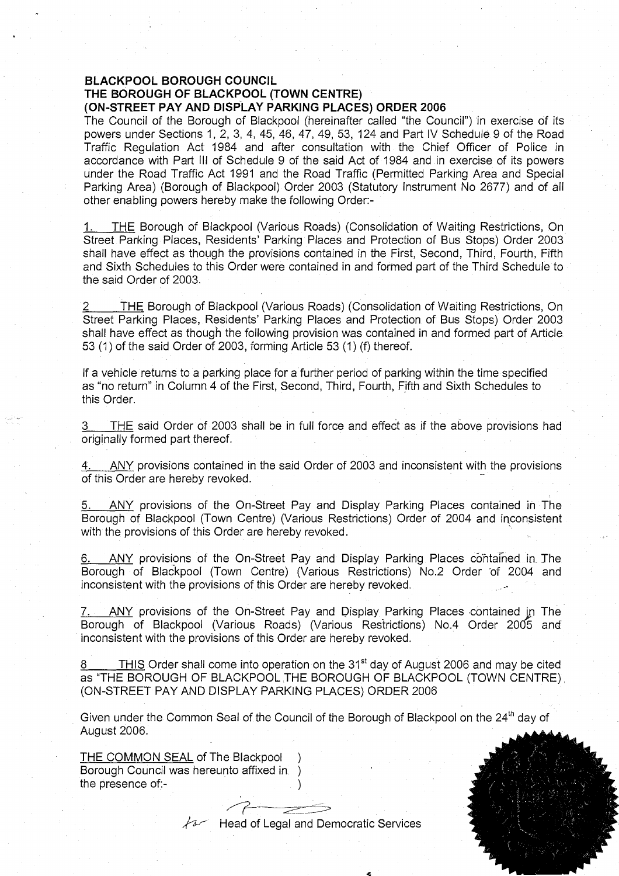#### **BLACKPOOL BOROUGH COUNCIL THE BOROUGH OF BLACKPOOL (TOWN CENTRE) (ON-STREET PAY AND DISPLAY PARKING PLACES) ORDER 2006**

The Council of the Borough of Blackpool (hereinafter called "the Council") in exercise of its powers under Sections 1, 2, 3, 4, 45, 46, 47, 49, 53, 124 and Part IV Schedule 9 of the Road Traffic Regulation Act 1984 and after consultation with the Chief Officer of Police in accordance with Part III of Schedule 9 of the said Act of 1984 and in exercise of its powers under the Road Traffic Act 1991 and the Road Traffic (Permitted Parking Area and Special Parking Area) (Borough of Blackpool) Order 2003 (Statutory Instrument No 2677) and of all other enabling powers hereby make the following Order:-

THE Borough of Blackpool (Various Roads) (Consolidation of Waiting Restrictions, On Street Parking Places, Residents' Parking Places and Protection of Bus Stops) Order 2003 shall have effect as though the provisions contained in the First, Second, Third, Fourth, Fifth and Sixth Schedules to this Order were contained in and formed part of the Third Schedule to the said Order of 2003.

THE Borough of Blackpool (Various Roads) (Consolidation of Waiting Restrictions, On Street Parking Places, Residents' Parking Places and Protection of Bus Stops) Order 2003 shall have effect as though the following provision was contained in and formed part of Article 53 (1) of the said Order of 2003, forming Article 53 (1) (f) thereof.

If a vehicle returns to a parking place for a further period of parking within the time specified as "no return" in Column 4 of the First, Second, Third, Fourth, Fifth and Sixth Schedules to this Order.

THE said Order of 2003 shall be in full force and effect as if the above provisions had originally formed part thereof.

4. ANY provisions contained in the said Order of 2003 and inconsistent with the provisions of this Order are hereby revoked.

5. ANY provisions of the On-Street Pay and Display Parking Places contained in The Borough of Blackpool (Town Centre) (Various Restrictions) Order of 2004 and inconsistent with the provisions of this Order are hereby revoked.

6. ANY provisions of the On-Street Pay and Display Parking Places contained in. The Borough of Blackpool (Town Centre) (Various Restrictions) No.2 Order 'of 2004 and inconsistent with the provisions of this Order are hereby revoked.

ANY provisions of the On-Street Pay and Display Parking Places contained in The Borough of Blackpool (Various Roads) (Various Restrictions) No.4 Order 2005 and inconsistent with the provisions of this Order are hereby revoked.

THIS Order shall come into operation on the  $31<sup>st</sup>$  day of August 2006 and may be cited 8. as "THE BOROUGH OF BLACKPOOL THE BOROUGH OF BLACKPOOL (TOWN CENTRE) (ON-STREET PAY AND DISPLAY PARKING PLACES) ORDER 2006

Given under the Common Seal of the Council of the Borough of Blackpool on the 24<sup>th</sup> day of August 2006.

THE COMMON SEAL of The Blackpool ) Borough Council was hereunto affixed in ) the presence of:-

 $\sqrt{4}$  Head of Legal and Democratic Services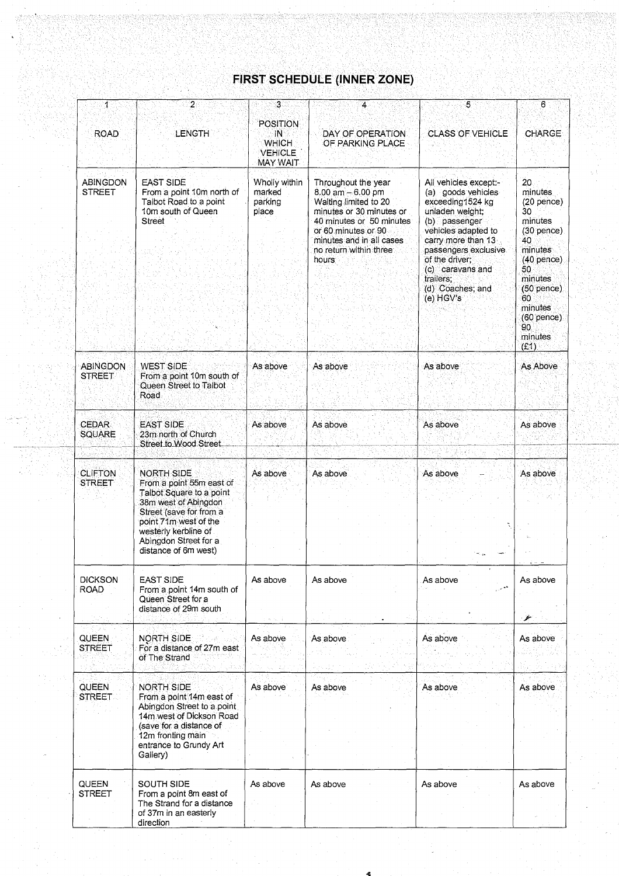#### **FIRST SCHEDULE (INNER ZONE)**

| 1                                | $\overline{2}$                                                                                                                                                                                                                 | 3                                                                     |                                                                                                                                                                                                                    | 5                                                                                                                                                                                                                                                            | 6                                                                                                                                                                                           |
|----------------------------------|--------------------------------------------------------------------------------------------------------------------------------------------------------------------------------------------------------------------------------|-----------------------------------------------------------------------|--------------------------------------------------------------------------------------------------------------------------------------------------------------------------------------------------------------------|--------------------------------------------------------------------------------------------------------------------------------------------------------------------------------------------------------------------------------------------------------------|---------------------------------------------------------------------------------------------------------------------------------------------------------------------------------------------|
| <b>ROAD</b>                      | LENGTH                                                                                                                                                                                                                         | POSITION<br>-IN.<br><b>WHICH</b><br><b>VEHICLE</b><br><b>MAY WAIT</b> | DAY OF OPERATION<br>OF PARKING PLACE                                                                                                                                                                               | <b>CLASS OF VEHICLE</b>                                                                                                                                                                                                                                      | CHARGE                                                                                                                                                                                      |
| <b>ABINGDON</b><br><b>STREET</b> | <b>EAST SIDE</b><br>From a point 10m north of<br>Talbot Road to a point<br>10m south of Queen<br><b>Street</b>                                                                                                                 | Wholly within<br>marked<br>parking<br>place                           | Throughout the year<br>$8.00$ am $-6.00$ pm<br>Waiting limited to 20<br>minutes or 30 minutes or<br>40 minutes or 50 minutes<br>or 60 minutes or 90<br>minutes and in all cases<br>no return within three<br>hours | All vehicles except:-<br>(a) goods vehicles<br>exceeding1524 kg<br>unladen weight;<br>(b) passenger<br>vehicles adapted to<br>carry more than 13<br>passengers exclusive<br>of the driver;<br>(c) caravans and<br>trailers:<br>(d) Coaches; and<br>(e) HGV's | 20<br>minutes<br>$(20$ pence)<br>30<br>minutes<br>$(30$ pence)<br>40<br>minutes<br>$(40$ pence)<br>50.<br>minutes<br>$(50$ pence)<br>60<br>minutes<br>$(60$ pence)<br>90<br>minutes<br>(E1) |
| <b>ABINGDON</b><br><b>STREET</b> | <b>WEST SIDE</b><br>From a point 10m south of<br>Queen Street to Talbot<br>Road                                                                                                                                                | As above                                                              | As above                                                                                                                                                                                                           | As above                                                                                                                                                                                                                                                     | As Above                                                                                                                                                                                    |
| <b>CEDAR</b><br><b>SQUARE</b>    | <b>EAST SIDE</b><br>23m north of Church<br>Street to Wood Street                                                                                                                                                               | As above                                                              | As above                                                                                                                                                                                                           | As above                                                                                                                                                                                                                                                     | As above                                                                                                                                                                                    |
| <b>CLIFTON</b><br><b>STREET</b>  | <b>NORTH SIDE</b><br>From a point 55m east of<br>Talbot Square to a point<br>38m west of Abingdon<br>Street (save for from a<br>point 71m west of the<br>westerly kerbline of<br>Abingdon Street for a<br>distance of 6m west) | As above                                                              | As above                                                                                                                                                                                                           | As above                                                                                                                                                                                                                                                     | As above                                                                                                                                                                                    |
| <b>DICKSON</b><br><b>ROAD</b>    | <b>EAST SIDE</b><br>From a point 14m south of<br>Queen Street for a<br>distance of 29m south                                                                                                                                   | As above                                                              | As above                                                                                                                                                                                                           | As above                                                                                                                                                                                                                                                     | As above<br>يتخر                                                                                                                                                                            |
| QUEEN<br><b>STREET</b>           | <b>NORTH SIDE</b><br>For a distance of 27m east<br>of The Strand                                                                                                                                                               | As above                                                              | As above                                                                                                                                                                                                           | As above                                                                                                                                                                                                                                                     | As above                                                                                                                                                                                    |
| <b>QUEEN</b><br><b>STREET</b>    | <b>NORTH SIDE</b><br>From a point 14m east of<br>Abingdon Street to a point<br>14m west of Dickson Road<br>(save for a distance of<br>12m fronting main<br>entrance to Grundy Art<br>Gallery)                                  | As above                                                              | As above                                                                                                                                                                                                           | As above                                                                                                                                                                                                                                                     | As above                                                                                                                                                                                    |
| QUEEN<br>STREET                  | SOUTH SIDE<br>From a point 8m east of<br>The Strand for a distance<br>of 37m in an easterly<br>direction                                                                                                                       | As above                                                              | As above                                                                                                                                                                                                           | As above                                                                                                                                                                                                                                                     | As above                                                                                                                                                                                    |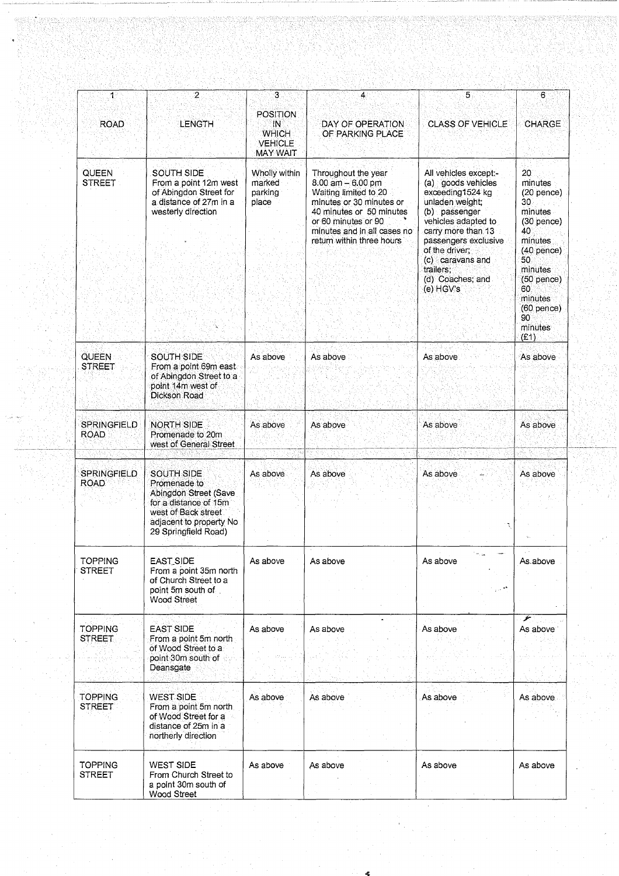| $\mathbf{1}$                      | $\overline{2}$                                                                                                                                                | З                                                                          | 4                                                                                                                                                                                                                | 5                                                                                                                                                                                                                                                             | 6                                                                                                                                                                                                   |
|-----------------------------------|---------------------------------------------------------------------------------------------------------------------------------------------------------------|----------------------------------------------------------------------------|------------------------------------------------------------------------------------------------------------------------------------------------------------------------------------------------------------------|---------------------------------------------------------------------------------------------------------------------------------------------------------------------------------------------------------------------------------------------------------------|-----------------------------------------------------------------------------------------------------------------------------------------------------------------------------------------------------|
| <b>ROAD</b>                       | LENGTH                                                                                                                                                        | <b>POSITION</b><br>IN<br><b>WHICH</b><br><b>VEHICLE</b><br><b>MAY WAIT</b> | DAY OF OPERATION<br>OF PARKING PLACE                                                                                                                                                                             | <b>CLASS OF VEHICLE</b>                                                                                                                                                                                                                                       | CHARGE                                                                                                                                                                                              |
| <b>QUEEN</b><br><b>STREET</b>     | <b>SOUTH SIDE</b><br>From a point 12m west<br>of Abingdon Street for<br>a distance of 27m in a<br>westerly direction                                          | Wholly within<br>marked<br>parking<br>place                                | Throughout the year<br>$8.00$ am $- 6.00$ pm<br>Waiting limited to 20<br>minutes or 30 minutes or<br>40 minutes or 50 minutes<br>or 60 minutes or 90<br>minutes and in all cases no<br>return within three hours | All vehicles except:-<br>(a) goods vehicles<br>exceeding 1524 kg<br>unladen weight;<br>(b) passenger<br>vehicles adapted to<br>carry more than 13<br>passengers exclusive<br>of the driver;<br>(c) caravans and<br>trailers.<br>(d) Coaches; and<br>(e) HGV's | $20^{\circ}$<br>minutes<br>(20 pence)<br>30.<br>minutes<br>$(30$ pence)<br>40<br>minutes<br>$(40$ pence)<br>50<br>minutes<br>$(50$ pence)<br>60<br>minutes<br>$(60$ pence)<br>90<br>minutes<br>(E1) |
| <b>QUEEN</b><br><b>STREET</b>     | <b>SOUTH SIDE</b><br>From a point 69m east<br>of Abingdon Street to a<br>point 14m west of<br>Dickson Road                                                    | As above                                                                   | As above                                                                                                                                                                                                         | As above                                                                                                                                                                                                                                                      | As above                                                                                                                                                                                            |
| <b>SPRINGFIELD</b><br><b>ROAD</b> | <b>NORTH SIDE</b><br>Promenade to 20m<br>west of General Street                                                                                               | As above                                                                   | As above                                                                                                                                                                                                         | As above                                                                                                                                                                                                                                                      | As above                                                                                                                                                                                            |
| <b>SPRINGFIELD</b><br><b>ROAD</b> | <b>SOUTH SIDE</b><br>Promenade to<br>Abingdon Street (Save<br>for a distance of 15m<br>west of Back street<br>adjacent to property No<br>29 Springfield Road) | As above                                                                   | As above                                                                                                                                                                                                         | As above                                                                                                                                                                                                                                                      | As above                                                                                                                                                                                            |
| <b>TOPPING</b><br><b>STREET</b>   | <b>EAST_SIDE</b><br>From a point 35m north<br>of Church Street to a<br>point 5m south of<br><b>Wood Street</b>                                                | As above                                                                   | As above                                                                                                                                                                                                         | As above                                                                                                                                                                                                                                                      | As above                                                                                                                                                                                            |
| <b>TOPPING</b><br><b>STREET</b>   | <b>EAST SIDE</b><br>From a point 5m north<br>of Wood Street to a<br>point 30m south of<br>Deansgate                                                           | As above                                                                   | As above                                                                                                                                                                                                         | As above                                                                                                                                                                                                                                                      | ۶<br>As above                                                                                                                                                                                       |
| <b>TOPPING</b><br><b>STREET</b>   | <b>WEST SIDE</b><br>From a point 5m north<br>of Wood Street for a<br>distance of 25m in a<br>northerly direction                                              | As above                                                                   | As above                                                                                                                                                                                                         | As above                                                                                                                                                                                                                                                      | As above                                                                                                                                                                                            |
| <b>TOPPING</b><br><b>STREET</b>   | <b>WEST SIDE</b><br>From Church Street to<br>a point 30m south of<br>Wood Street                                                                              | As above                                                                   | As above                                                                                                                                                                                                         | As above                                                                                                                                                                                                                                                      | As above                                                                                                                                                                                            |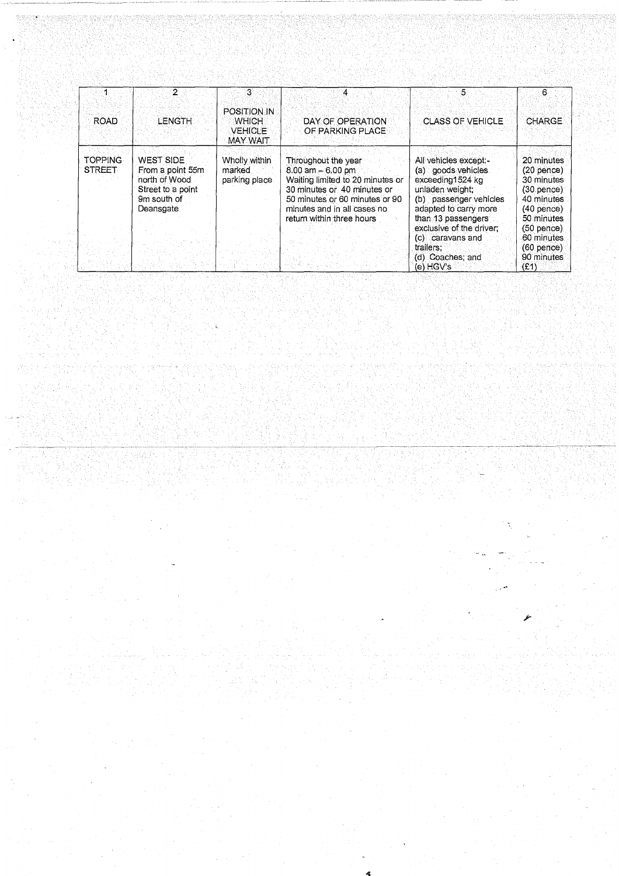| <b>ROAD</b>              | 2<br><b>LENGTH</b>                                                                                     | -31<br><b>POSITION IN</b><br><b>WHICH</b><br><b>VEHICLE</b><br><b>MAY WAIT</b> | 4<br>DAY OF OPERATION<br>OF PARKING PLACE                                                                                                                                                                    | 5<br><b>CLASS OF VEHICLE</b>                                                                                                                                                                                                                              | 6.<br><b>CHARGE</b>                                                                                                                                                     |
|--------------------------|--------------------------------------------------------------------------------------------------------|--------------------------------------------------------------------------------|--------------------------------------------------------------------------------------------------------------------------------------------------------------------------------------------------------------|-----------------------------------------------------------------------------------------------------------------------------------------------------------------------------------------------------------------------------------------------------------|-------------------------------------------------------------------------------------------------------------------------------------------------------------------------|
| TOPPING<br><b>STREET</b> | <b>WEST SIDE</b><br>From a point 55m<br>north of Wood<br>Street to a point<br>9m south of<br>Deansgate | Wholly within<br>marked<br>parking place.                                      | Throughout the year<br>$8.00$ am $-6.00$ pm<br>Waiting limited to 20 minutes or<br>30 minutes or 40 minutes or<br>50 minutes or 60 minutes or 90<br>minutes and in all cases no<br>return within three hours | All vehicles except:-<br>(a) goods vehicles<br>exceeding1524 kg<br>unladen weight:<br>(b) passenger vehicles<br>adapted to carry more<br>than 13 passengers<br>exclusive of the driver;<br>(c) caravans and<br>trailers:<br>(d) Coaches; and<br>(e) HGV's | 20 minutes<br>$(20$ pence)<br>30 minutes<br>(30. pence)<br>40 minutes<br>$(40$ pence)<br>50 minutes<br>$(50$ pence)<br>60 minutes<br>$(60$ pence)<br>90 minutes<br>(E1) |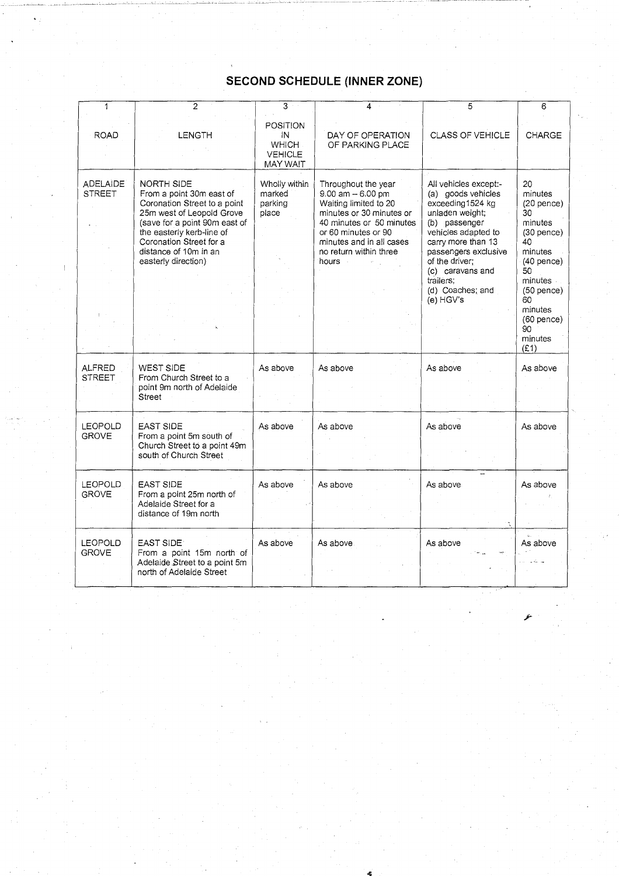| 1                                | $\overline{2}$                                                                                                                                                                                                                                      | 3                                                                   | 4                                                                                                                                                                                                                    | 5                                                                                                                                                                                                                                                            | 6                                                                                                                                                   |
|----------------------------------|-----------------------------------------------------------------------------------------------------------------------------------------------------------------------------------------------------------------------------------------------------|---------------------------------------------------------------------|----------------------------------------------------------------------------------------------------------------------------------------------------------------------------------------------------------------------|--------------------------------------------------------------------------------------------------------------------------------------------------------------------------------------------------------------------------------------------------------------|-----------------------------------------------------------------------------------------------------------------------------------------------------|
| <b>ROAD</b>                      | <b>LENGTH</b>                                                                                                                                                                                                                                       | POSITION<br>ΙN<br><b>WHICH</b><br><b>VEHICLE</b><br><b>MAY WAIT</b> | DAY OF OPERATION<br>OF PARKING PLACE                                                                                                                                                                                 | CLASS OF VEHICLE                                                                                                                                                                                                                                             | CHARGE                                                                                                                                              |
| <b>ADELAIDE</b><br><b>STREET</b> | <b>NORTH SIDE</b><br>From a point 30m east of<br>Coronation Street to a point<br>25m west of Leopold Grove<br>(save for a point 90m east of<br>the easterly kerb-line of<br>Coronation Street for a<br>distance of 10m in an<br>easterly direction) | Wholly within<br>marked<br>parking<br>place                         | Throughout the year<br>$9.00$ am $-6.00$ pm<br>Waiting limited to 20<br>minutes or 30 minutes or<br>40 minutes or 50 minutes<br>or 60 minutes or 90<br>minutes and in all cases<br>no return within three<br>hours - | All vehicles except:-<br>(a) goods vehicles<br>exceeding1524 kg<br>unladen weight;<br>(b) passenger<br>vehicles adapted to<br>carry more than 13<br>passengers exclusive<br>of the driver;<br>(c) caravans and<br>trailers;<br>(d) Coaches; and<br>(e) HGV's | 20<br>minutes<br>$(20$ pence)<br>30<br>minutes<br>$(30$ pence)<br>40<br>minutes<br>$(40$ pence)<br>50<br>minutes -<br>$(50$ pence)<br>60<br>minutes |
|                                  |                                                                                                                                                                                                                                                     |                                                                     |                                                                                                                                                                                                                      |                                                                                                                                                                                                                                                              | $(60$ pence $)$<br>90<br>minutes<br>(E1)                                                                                                            |
| <b>ALFRED</b><br><b>STREET</b>   | WEST SIDE<br>From Church Street to a<br>point 9m north of Adelaide<br>Street                                                                                                                                                                        | As above                                                            | As above                                                                                                                                                                                                             | As above                                                                                                                                                                                                                                                     | As above                                                                                                                                            |
| <b>LEOPOLD</b><br><b>GROVE</b>   | <b>EAST SIDE</b><br>From a point 5m south of<br>Church Street to a point 49m<br>south of Church Street                                                                                                                                              | As above                                                            | As above                                                                                                                                                                                                             | As above                                                                                                                                                                                                                                                     | As above                                                                                                                                            |
| <b>LEOPOLD</b><br><b>GROVE</b>   | EAST SIDE<br>From a point 25m north of<br>Adelaide Street for a<br>distance of 19m north                                                                                                                                                            | As above                                                            | As above                                                                                                                                                                                                             | As above                                                                                                                                                                                                                                                     | As above                                                                                                                                            |
| <b>LEOPOLD</b><br><b>GROVE</b>   | EAST SIDE<br>From a point 15m north of<br>Adelaide Street to a point 5m<br>north of Adelaide Street                                                                                                                                                 | As above                                                            | As above                                                                                                                                                                                                             | As above                                                                                                                                                                                                                                                     | As above                                                                                                                                            |

# **SECOND SCHEDULE (INNER ZONE)**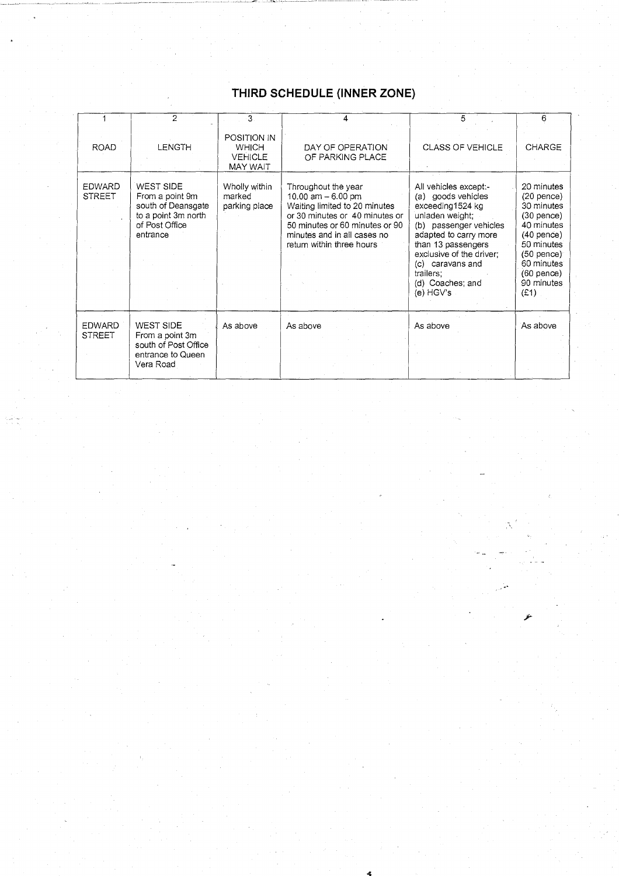### **THIRD SCHEDULE (INNER ZONE)**

|                                | 2                                                                                                       | 3                                                                | 4                                                                                                                                                                                                           | 5                                                                                                                                                                                                                                                           | 6                                                                                                                                                                        |
|--------------------------------|---------------------------------------------------------------------------------------------------------|------------------------------------------------------------------|-------------------------------------------------------------------------------------------------------------------------------------------------------------------------------------------------------------|-------------------------------------------------------------------------------------------------------------------------------------------------------------------------------------------------------------------------------------------------------------|--------------------------------------------------------------------------------------------------------------------------------------------------------------------------|
| <b>ROAD</b>                    | LENGTH                                                                                                  | POSITION IN<br><b>WHICH</b><br><b>VEHICLE</b><br><b>MAY WAIT</b> | DAY OF OPERATION<br>OF PARKING PLACE                                                                                                                                                                        | <b>CLASS OF VEHICLE</b>                                                                                                                                                                                                                                     | <b>CHARGE</b>                                                                                                                                                            |
| EDWARD<br><b>STREET</b>        | WEST SIDE<br>From a point 9m<br>south of Deansgate<br>to a point 3m north<br>of Post Office<br>entrance | Wholly within<br>marked<br>parking place                         | Throughout the year<br>10.00 am $-6.00$ pm<br>Waiting limited to 20 minutes<br>or 30 minutes or 40 minutes or<br>50 minutes or 60 minutes or 90<br>minutes and in all cases no<br>return within three hours | All vehicles except:-<br>(a) goods vehicles<br>exceeding1524 kg<br>unladen weight;<br>(b) passenger vehicles<br>adapted to carry more<br>than 13 passengers<br>exclusive of the driver;<br>(c) caravans and<br>trailers:<br>(d) Coaches; and<br>(e) $HGV's$ | 20 minutes<br>$(20$ pence)<br>30 minutes<br>$(30$ pence)<br>40 minutes<br>$(40$ pence)<br>50 minutes<br>$(50$ pence)<br>60 minutes<br>$(60$ pence)<br>90 minutes<br>(E1) |
| <b>EDWARD</b><br><b>STREET</b> | WEST SIDE<br>From a point 3m<br>south of Post Office<br>entrance to Queen<br>Vera Road                  | As above                                                         | As above                                                                                                                                                                                                    | As above                                                                                                                                                                                                                                                    | As above                                                                                                                                                                 |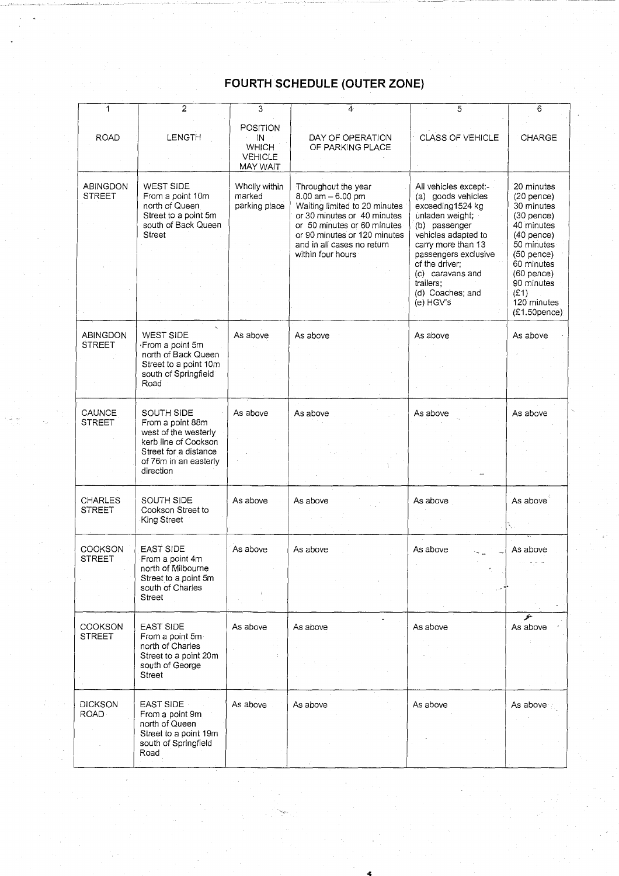### **FOURTH SCHEDULE (OUTER ZONE)**

| 1                                | $\overline{c}$                                                                                                                                | 3                                                            | 4.                                                                                                                                                                                                                            | 5                                                                                                                                                                                                                                                            | 6                                                                                                                                                                                                          |
|----------------------------------|-----------------------------------------------------------------------------------------------------------------------------------------------|--------------------------------------------------------------|-------------------------------------------------------------------------------------------------------------------------------------------------------------------------------------------------------------------------------|--------------------------------------------------------------------------------------------------------------------------------------------------------------------------------------------------------------------------------------------------------------|------------------------------------------------------------------------------------------------------------------------------------------------------------------------------------------------------------|
| <b>ROAD</b>                      | LENGTH                                                                                                                                        | POSITION<br>IN<br><b>WHICH</b><br><b>VEHICLE</b><br>MAY WAIT | DAY OF OPERATION<br>OF PARKING PLACE                                                                                                                                                                                          | CLASS OF VEHICLE                                                                                                                                                                                                                                             | CHARGE                                                                                                                                                                                                     |
| ABINGDON<br>STREET               | <b>WEST SIDE</b><br>From a point 10m<br>north of Queen<br>Street to a point 5m<br>south of Back Queen<br><b>Street</b>                        | Wholly within<br>marked<br>parking place                     | Throughout the year<br>$8.00$ am $-6.00$ pm<br>Waiting limited to 20 minutes<br>or 30 minutes or 40 minutes<br>or 50 minutes or 60 minutes<br>or 90 minutes or 120 minutes<br>and in all cases no return<br>within four hours | All vehicles except:-<br>(a) goods vehicles<br>exceeding1524 kg<br>unladen weight;<br>(b) passenger<br>vehicles adapted to<br>carry more than 13<br>passengers exclusive<br>of the driver;<br>(c) caravans and<br>trailers;<br>(d) Coaches; and<br>(e) HGV's | 20 minutes<br>$(20$ pence)<br>30 minutes<br>$(30$ pence)<br>40 minutes<br>$(40$ pence)<br>50 minutes<br>$(50$ pence)<br>60 minutes<br>$(60$ pence)<br>90 minutes<br>(E1)<br>120 minutes<br>$(E1.50$ pence) |
| <b>ABINGDON</b><br><b>STREET</b> | k.<br>WEST SIDE<br>From a point 5m<br>north of Back Queen<br>Street to a point 10m<br>south of Springfield<br>Road                            | As above                                                     | As above                                                                                                                                                                                                                      | As above                                                                                                                                                                                                                                                     | As above                                                                                                                                                                                                   |
| CAUNCE<br><b>STREET</b>          | SOUTH SIDE<br>From a point 88m<br>west of the westerly<br>kerb line of Cookson<br>Street for a distance<br>of 76m in an easterly<br>direction | As above                                                     | As above                                                                                                                                                                                                                      | As above                                                                                                                                                                                                                                                     | As above                                                                                                                                                                                                   |
| <b>CHARLES</b><br>STREET         | <b>SOUTH SIDE</b><br>Cookson Street to<br>King Street                                                                                         | As above                                                     | As above                                                                                                                                                                                                                      | As above                                                                                                                                                                                                                                                     | As above                                                                                                                                                                                                   |
| COOKSON<br><b>STREET</b>         | <b>EAST SIDE</b><br>From a point 4m<br>north of Milbourne<br>Street to a point 5m<br>south of Charles<br>Street                               | As above                                                     | As above                                                                                                                                                                                                                      | As above                                                                                                                                                                                                                                                     | As above                                                                                                                                                                                                   |
| COOKSON<br><b>STREET</b>         | <b>EAST SIDE</b><br>From a point 5m<br>north of Charles<br>Street to a point 20m<br>south of George<br>Street                                 | As above                                                     | As above                                                                                                                                                                                                                      | As above                                                                                                                                                                                                                                                     | As above                                                                                                                                                                                                   |
| <b>DICKSON</b><br><b>ROAD</b>    | <b>EAST SIDE</b><br>From a point 9m<br>north of Queen<br>Street to a point 19m<br>south of Springfield<br>Road                                | As above                                                     | As above                                                                                                                                                                                                                      | As above                                                                                                                                                                                                                                                     | As above                                                                                                                                                                                                   |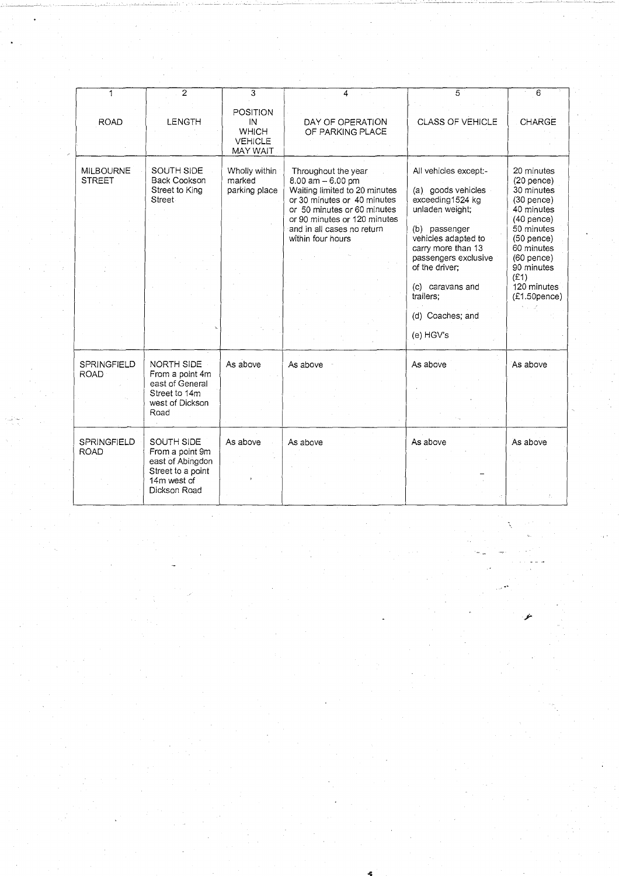| 1                                 | $\overline{2}$                                                                                        | 3                                                                          | 4                                                                                                                                                                                                                          | 5                                                                                                                                                                                                                                                            | 6                                                                                                                                                                                                          |
|-----------------------------------|-------------------------------------------------------------------------------------------------------|----------------------------------------------------------------------------|----------------------------------------------------------------------------------------------------------------------------------------------------------------------------------------------------------------------------|--------------------------------------------------------------------------------------------------------------------------------------------------------------------------------------------------------------------------------------------------------------|------------------------------------------------------------------------------------------------------------------------------------------------------------------------------------------------------------|
| <b>ROAD</b>                       | <b>LENGTH</b>                                                                                         | <b>POSITION</b><br>IN<br><b>WHICH</b><br><b>VEHICLE</b><br><b>MAY WAIT</b> | DAY OF OPERATION<br>OF PARKING PLACE                                                                                                                                                                                       | <b>CLASS OF VEHICLE</b>                                                                                                                                                                                                                                      | CHARGE                                                                                                                                                                                                     |
| <b>MILBOURNE</b><br><b>STREET</b> | SOUTH SIDE<br><b>Back Cookson</b><br>Street to King<br>Street                                         | Wholly within<br>marked<br>parking place                                   | Throughout the year<br>8.00 am - 6.00 pm<br>Waiting limited to 20 minutes<br>or 30 minutes or 40 minutes<br>or 50 minutes or 60 minutes<br>or 90 minutes or 120 minutes<br>and in all cases no return<br>within four hours | All vehicles except:-<br>(a) goods vehicles<br>exceeding1524 kg<br>unladen weight;<br>(b) passenger<br>vehicles adapted to<br>carry more than 13<br>passengers exclusive<br>of the driver:<br>(c) caravans and<br>trailers:<br>(d) Coaches; and<br>(e) HGV's | 20 minutes<br>$(20$ pence)<br>30 minutes<br>$(30$ pence)<br>40 minutes<br>$(40$ pence)<br>50 minutes<br>$(50$ pence)<br>60 minutes<br>$(60$ pence)<br>90 minutes<br>(E1)<br>120 minutes<br>$(E1.50$ pence) |
| SPRINGFIELD<br><b>ROAD</b>        | NORTH SIDE<br>From a point 4m<br>east of General<br>Street to 14m<br>west of Dickson<br>Road          | As above                                                                   | As above                                                                                                                                                                                                                   | As above                                                                                                                                                                                                                                                     | As above                                                                                                                                                                                                   |
| SPRINGFIELD<br><b>ROAD</b>        | SOUTH SIDE<br>From a point 9m<br>east of Abingdon<br>Street to a point<br>14m west of<br>Dickson Road | As above                                                                   | As above                                                                                                                                                                                                                   | As above                                                                                                                                                                                                                                                     | As above                                                                                                                                                                                                   |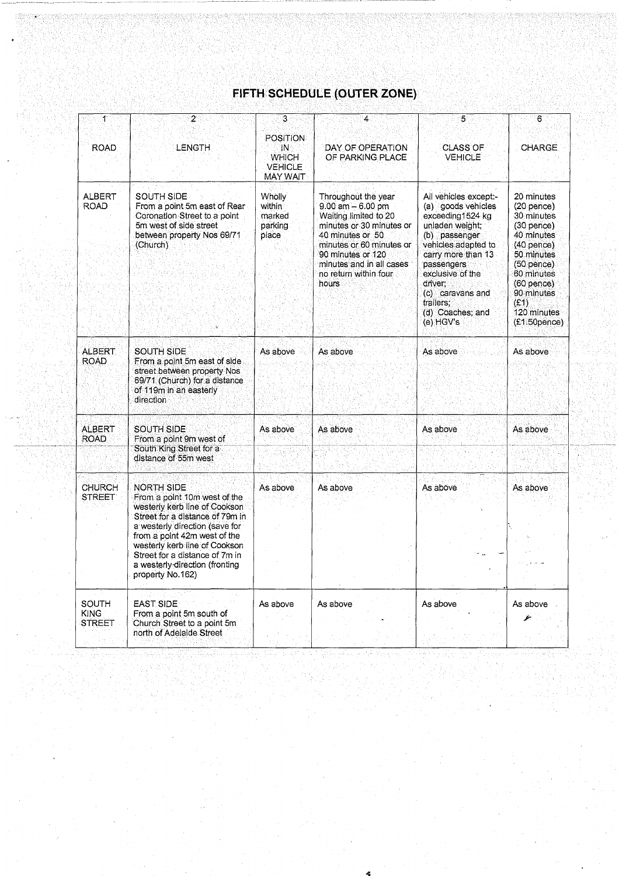## FIFTH SCHEDULE (OUTER ZONE)

| 1                              | 2                                                                                                                                                                                                                                                                                                         | 3.                                                                  | $\overline{4}$                                                                                                                                                                                                                      | 5                                                                                                                                                                                                                                                               | 6                                                                                                                                                                                                                 |
|--------------------------------|-----------------------------------------------------------------------------------------------------------------------------------------------------------------------------------------------------------------------------------------------------------------------------------------------------------|---------------------------------------------------------------------|-------------------------------------------------------------------------------------------------------------------------------------------------------------------------------------------------------------------------------------|-----------------------------------------------------------------------------------------------------------------------------------------------------------------------------------------------------------------------------------------------------------------|-------------------------------------------------------------------------------------------------------------------------------------------------------------------------------------------------------------------|
| <b>ROAD</b>                    | LENGTH                                                                                                                                                                                                                                                                                                    | <b>POSITION</b><br>IN<br><b>WHICH</b><br><b>VEHICLE</b><br>MAY WAIT | DAY OF OPERATION<br>OF PARKING PLACE                                                                                                                                                                                                | <b>CLASS OF</b><br><b>VEHICLE</b>                                                                                                                                                                                                                               | CHARGE.                                                                                                                                                                                                           |
| ALBERT<br><b>ROAD</b>          | <b>SOUTH SIDE</b><br>From a point 5m east of Rear<br>Coronation Street to a point<br>5m west of side street<br>between property Nos 69/71<br>(Church)                                                                                                                                                     | <b>Wholly</b><br>within<br>marked<br>parking<br>place               | Throughout the year<br>$9.00$ am $-6.00$ pm<br>Waiting limited to 20<br>minutes or 30 minutes or<br>40 minutes or 50<br>minutes or 60 minutes or<br>90 minutes or 120<br>minutes and in all cases<br>no return within four<br>hours | All vehicles except:-<br>(a) goods vehicles<br>exceeding1524 kg<br>unladen weight:<br>(b) passenger<br>vehicles adapted to<br>carry more than 13<br>passengers<br>exclusive of the<br>driver:<br>(c) caravans and<br>trailers;<br>(d) Coaches; and<br>(e) HGV's | 20 minutes<br>$(20$ pence)<br>30 minutes<br>$(30$ pence $)$<br>40 minutes<br>$(40$ pence $)$<br>50 minutes<br>(50 pence)<br>60 minutes<br>$(60$ pence $)$<br>90 minutes<br>(E1)<br>120 minutes<br>$(E1.50$ pence) |
| <b>ALBERT</b><br>ROAD.         | SOUTH SIDE<br>From a point 5m east of side<br>street between property Nos<br>69/71 (Church) for a distance<br>of 119m in an easterly<br>direction.                                                                                                                                                        | As above                                                            | As above                                                                                                                                                                                                                            | As above                                                                                                                                                                                                                                                        | As above                                                                                                                                                                                                          |
| ALBERT<br><b>ROAD</b>          | <b>SOUTH SIDE</b><br>From a point 9m west of<br>South King Street for a<br>distance of 55m west                                                                                                                                                                                                           | As above                                                            | As above                                                                                                                                                                                                                            | As above                                                                                                                                                                                                                                                        | As above                                                                                                                                                                                                          |
| <b>CHURCH</b><br><b>STREET</b> | NORTH SIDE<br>From a point 10m west of the<br>westerly kerb line of Cookson<br>Street for a distance of 79m in<br>a westerly direction (save for<br>from a point 42m west of the<br>westerly kerb line of Cookson<br>Street for a distance of 7m in<br>a westerly-direction (fronting<br>property No.162) | As above                                                            | As above                                                                                                                                                                                                                            | As above                                                                                                                                                                                                                                                        | As above                                                                                                                                                                                                          |
| SOUTH<br>KING<br>STREET        | <b>EAST SIDE</b><br>From a point 5m south of<br>Church Street to a point 5m<br>north of Adelaide Street                                                                                                                                                                                                   | As above                                                            | As above                                                                                                                                                                                                                            | As above                                                                                                                                                                                                                                                        | As above                                                                                                                                                                                                          |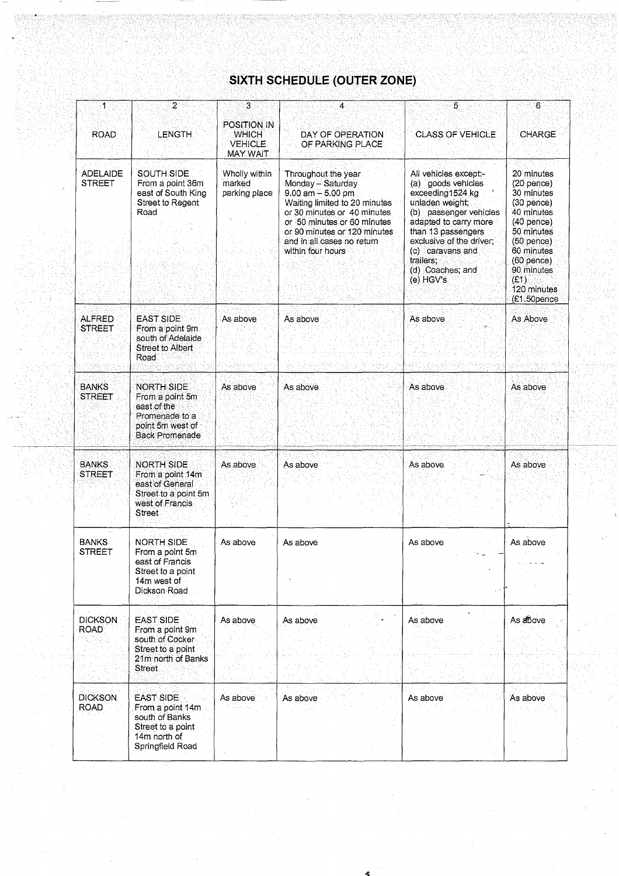### SIXTH SCHEDULE (OUTER ZONE)

| 1.<br><b>ROAD</b>                | $\overline{2}$<br>LENGTH                                                                                           | 3<br><b>POSITION IN</b><br><b>WHICH</b><br><b>VEHICLE</b><br>MAY WAIT | 4<br>DAY OF OPERATION<br>OF PARKING PLACE                                                                                                                                                                                                          | 5<br><b>CLASS OF VEHICLE</b>                                                                                                                                                                                                                              | 6<br><b>CHARGE</b>                                                                                                                                                                                     |
|----------------------------------|--------------------------------------------------------------------------------------------------------------------|-----------------------------------------------------------------------|----------------------------------------------------------------------------------------------------------------------------------------------------------------------------------------------------------------------------------------------------|-----------------------------------------------------------------------------------------------------------------------------------------------------------------------------------------------------------------------------------------------------------|--------------------------------------------------------------------------------------------------------------------------------------------------------------------------------------------------------|
| <b>ADELAIDE</b><br><b>STREET</b> | <b>SOUTH SIDE</b><br>From a point 36m<br>east of South King<br>Street to Regent<br>Road                            | Wholly within<br>marked<br>parking place                              | Throughout the year<br>Monday - Saturday<br>$9.00$ am $-5.00$ pm<br>Waiting limited to 20 minutes<br>or 30 minutes or 40 minutes<br>or 50 minutes or 60 minutes<br>or 90 minutes or 120 minutes<br>and in all cases no return<br>within four hours | All vehicles except:-<br>(a) goods vehicles<br>exceeding1524 kg<br>unladen weight,<br>(b) passenger vehicles<br>adapted to carry more<br>than 13 passengers<br>exclusive of the driver;<br>(c) caravans and<br>trailers:<br>(d) Coaches; and<br>(e) HGV's | 20 minutes<br>$(20$ pence)<br>30 minutes<br>$(30$ pence)<br>40 minutes<br>$(40$ pence)<br>50 minutes<br>$(50$ pence)<br>60 minutes<br>$(60$ pence)<br>90 minutes<br>(E1)<br>120 minutes<br>(£1.50pence |
| <b>ALFRED</b><br><b>STREET</b>   | <b>EAST SIDE</b><br>From a point 9m<br>south of Adelaide<br><b>Street to Albert</b><br>Road                        | As above                                                              | As above                                                                                                                                                                                                                                           | As above                                                                                                                                                                                                                                                  | As Above                                                                                                                                                                                               |
| <b>BANKS</b><br><b>STREET</b>    | <b>NORTH SIDE</b><br>From a point 5m<br>east of the<br>Promenade to a<br>point 5m west of<br><b>Back Promenade</b> | As above                                                              | As above                                                                                                                                                                                                                                           | As above                                                                                                                                                                                                                                                  | As above                                                                                                                                                                                               |
| <b>BANKS</b><br><b>STREET</b>    | <b>NORTH SIDE</b><br>From a point 14m<br>east of General<br>Street to a point 5m<br>west of Francis<br>Street      | As above                                                              | As above                                                                                                                                                                                                                                           | As above                                                                                                                                                                                                                                                  | As above                                                                                                                                                                                               |
| <b>BANKS</b><br><b>STREET</b>    | <b>NORTH SIDE</b><br>From a point 5m<br>east of Francis<br>Street to a point<br>14m west of<br>Dickson Road        | As above                                                              | As above                                                                                                                                                                                                                                           | As above                                                                                                                                                                                                                                                  | As above                                                                                                                                                                                               |
| <b>DICKSON</b><br><b>ROAD</b>    | <b>EAST SIDE</b><br>From a point 9m<br>south of Cocker<br>Street to a point<br>21m north of Banks<br>Street        | As above                                                              | As above                                                                                                                                                                                                                                           | As above                                                                                                                                                                                                                                                  | As above                                                                                                                                                                                               |
| <b>DICKSON</b><br><b>ROAD</b>    | <b>EAST SIDE</b><br>From a point 14m<br>south of Banks<br>Street to a point<br>14m north of<br>Springfield Road    | As above                                                              | As above                                                                                                                                                                                                                                           | As above                                                                                                                                                                                                                                                  | As above                                                                                                                                                                                               |